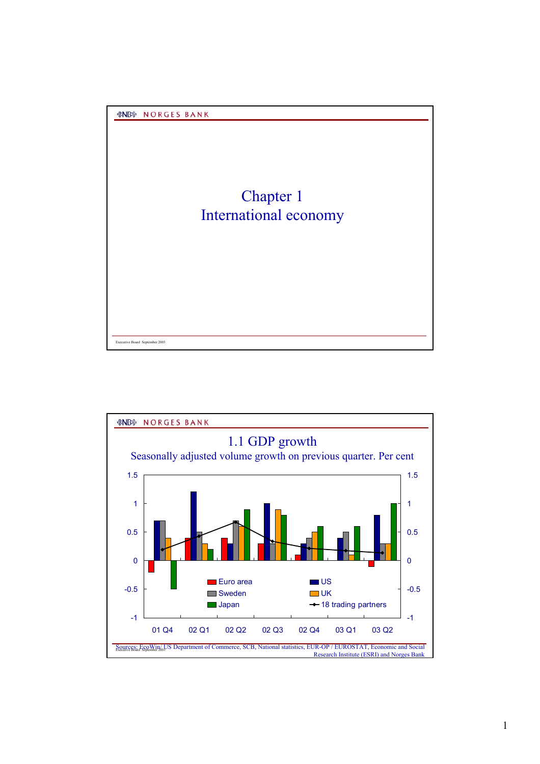

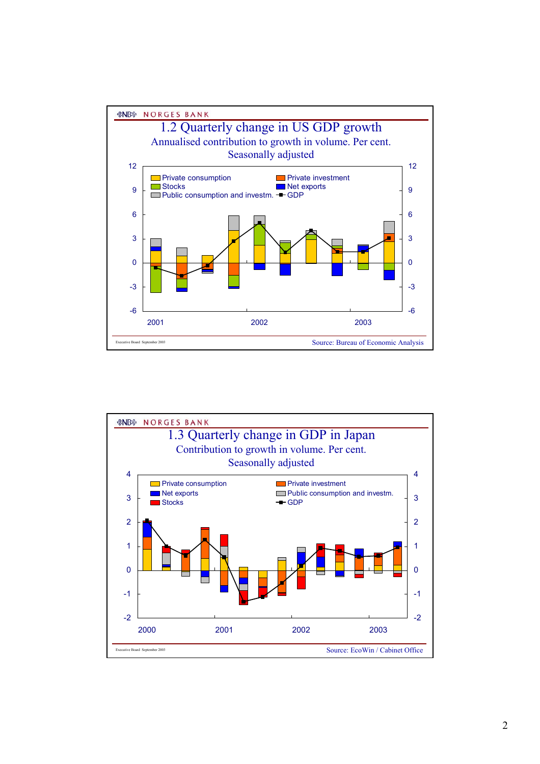

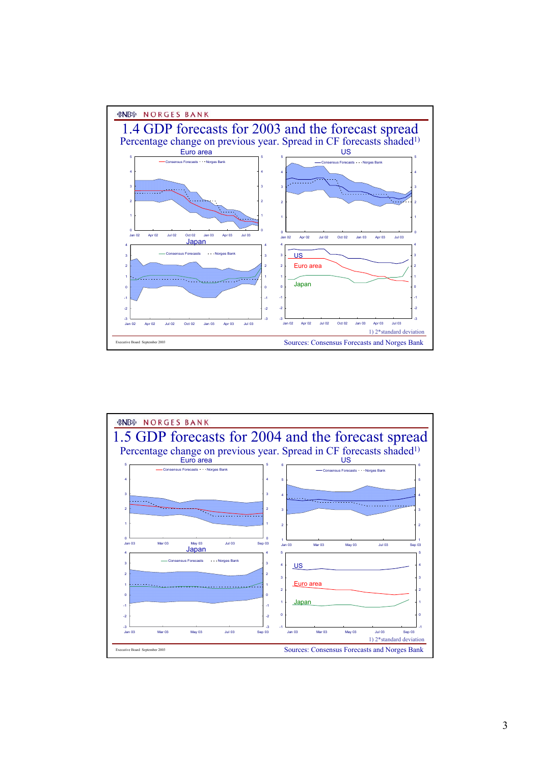

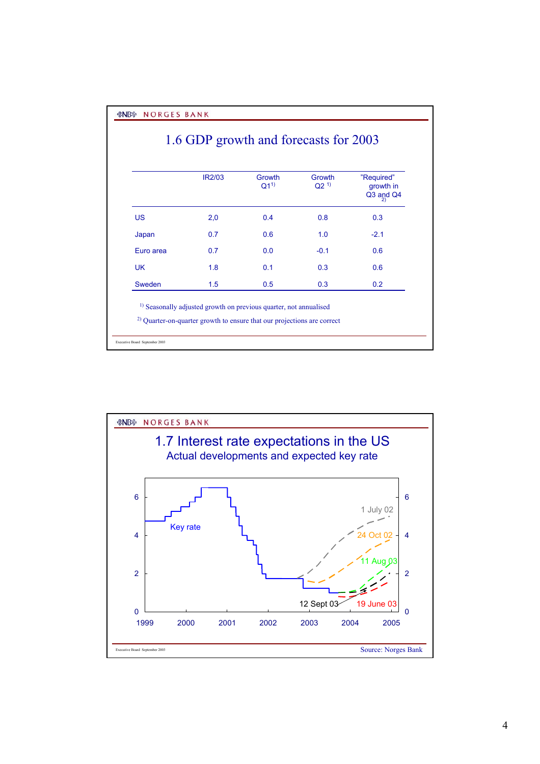*&NB* **NORGES BANK** 

## 1.6 GDP growth and forecasts for 2003

|           | <b>IR2/03</b> | Growth<br>$Q1^{1}$ | Growth<br>$Q2^{(1)}$ | "Required"<br>growth in<br>Q3 and Q4<br>2) |  |
|-----------|---------------|--------------------|----------------------|--------------------------------------------|--|
| <b>US</b> | 2,0           | 0.4                | 0.8                  | 0.3                                        |  |
| Japan     | 0.7           | 0.6                | 1.0                  | $-2.1$                                     |  |
| Euro area | 0.7           | 0.0                | $-0.1$               | 0.6                                        |  |
| <b>UK</b> | 1.8           | 0.1                | 0.3                  | 0.6                                        |  |
| Sweden    | 1.5           | 0.5                | 0.3                  | 0.2                                        |  |

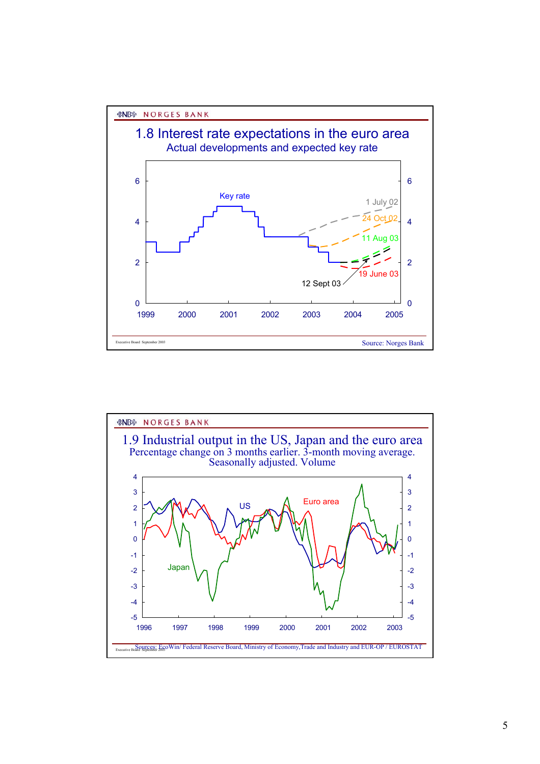

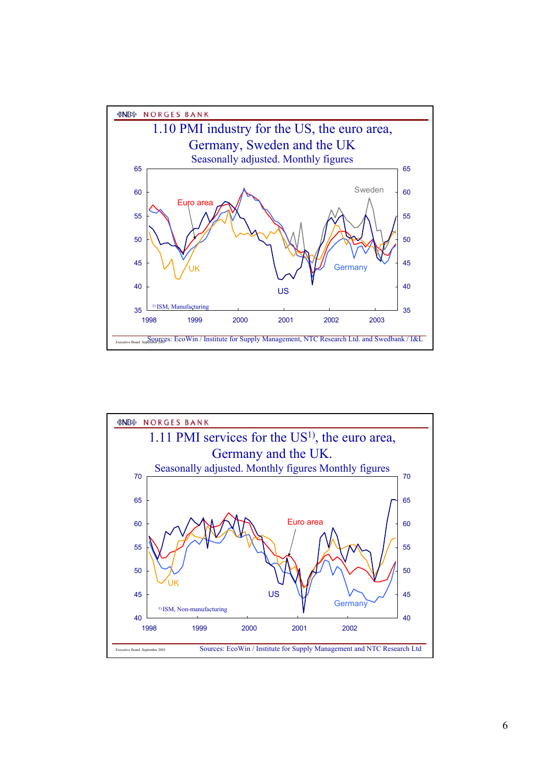

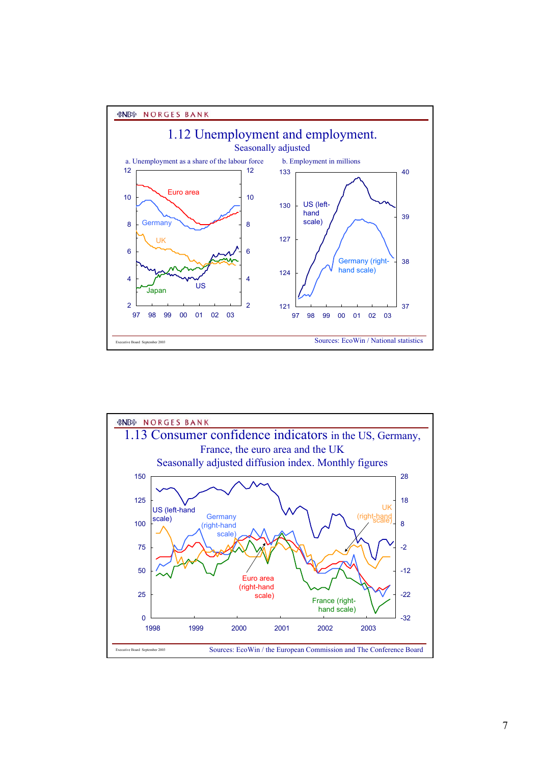

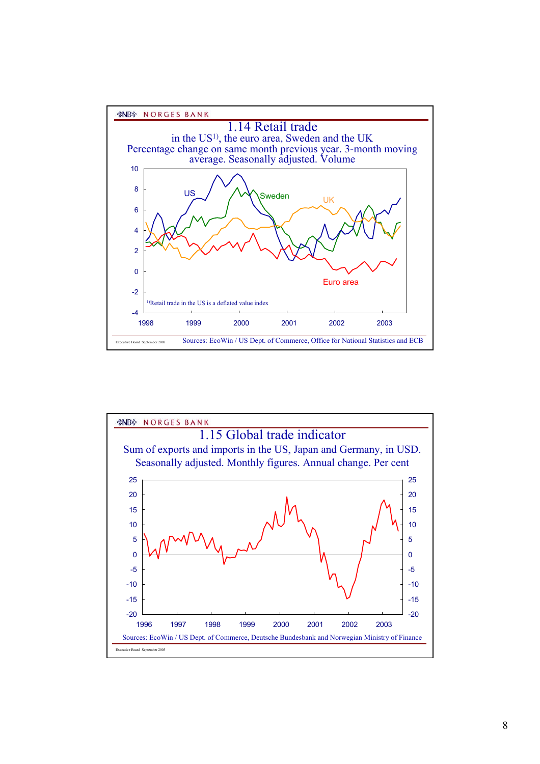

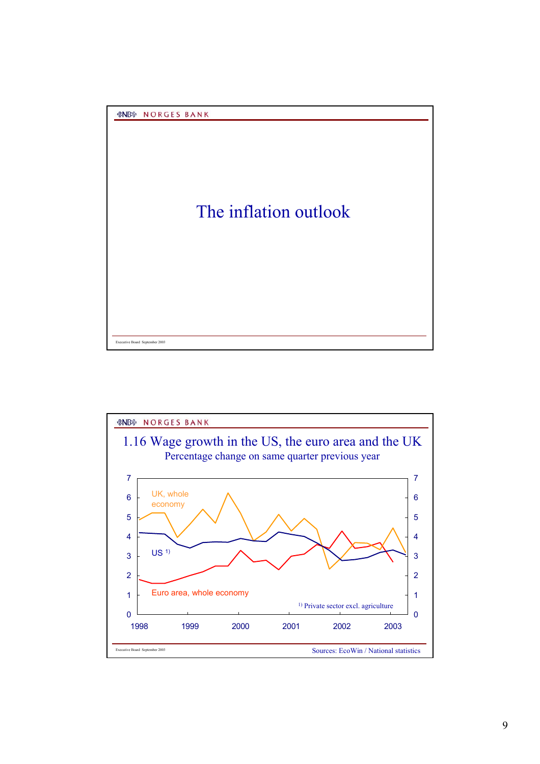

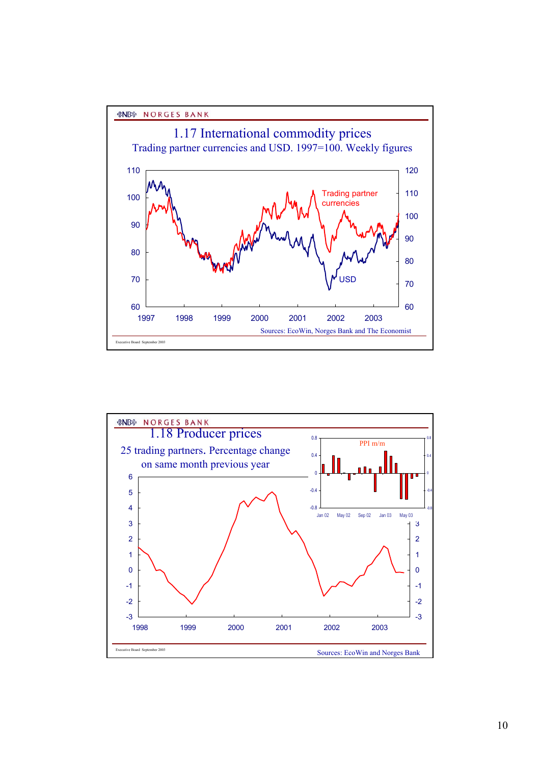



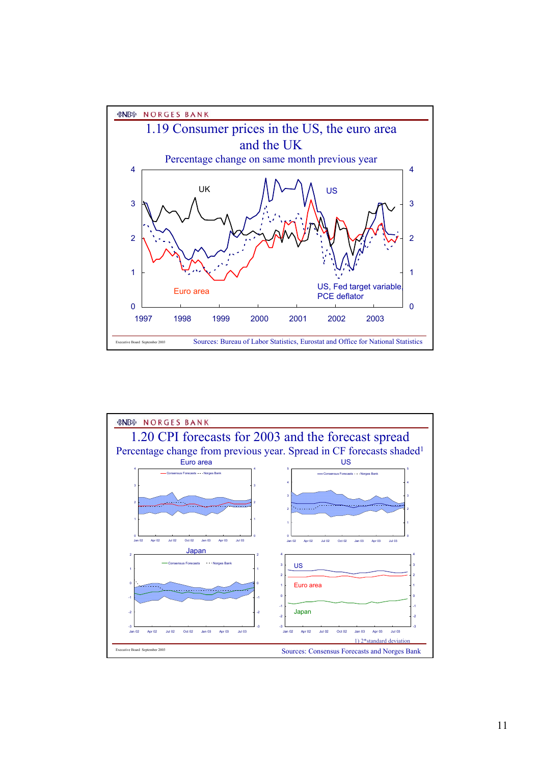

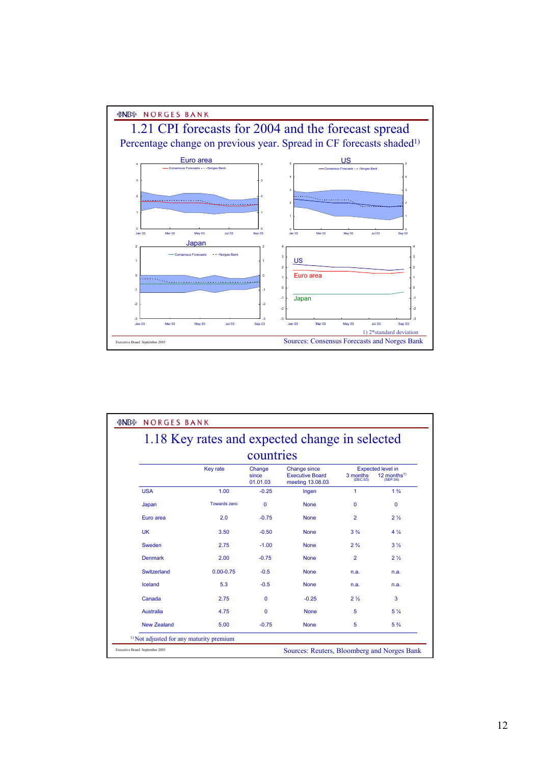

| 1.18 Key rates and expected change in selected |                     |                             |                                                                   |                      |                                                                 |  |  |  |  |
|------------------------------------------------|---------------------|-----------------------------|-------------------------------------------------------------------|----------------------|-----------------------------------------------------------------|--|--|--|--|
| countries                                      |                     |                             |                                                                   |                      |                                                                 |  |  |  |  |
|                                                | <b>Key rate</b>     | Change<br>since<br>01.01.03 | <b>Change since</b><br><b>Executive Board</b><br>meeting 13.08.03 | 3 months<br>(DEC.03) | <b>Expected level in</b><br>12 months <sup>1)</sup><br>(SEP.04) |  |  |  |  |
| <b>USA</b>                                     | 1.00                | $-0.25$                     | Ingen                                                             | 1                    | $1\frac{3}{4}$                                                  |  |  |  |  |
| Japan                                          | <b>Towards zero</b> | $\mathbf{0}$                | <b>None</b>                                                       | $\Omega$             | 0                                                               |  |  |  |  |
| Euro area                                      | 2.0                 | $-0.75$                     | <b>None</b>                                                       | 2                    | 2 <sub>2</sub>                                                  |  |  |  |  |
| UK                                             | 3.50                | $-0.50$                     | <b>None</b>                                                       | $3\frac{3}{4}$       | $4\frac{1}{4}$                                                  |  |  |  |  |
| Sweden                                         | 2.75                | $-1.00$                     | <b>None</b>                                                       | $2\frac{3}{4}$       | 3 <sub>3</sub>                                                  |  |  |  |  |
| <b>Denmark</b>                                 | 2.00                | $-0.75$                     | <b>None</b>                                                       | $\overline{2}$       | 2 <sub>2</sub>                                                  |  |  |  |  |
| Switzerland                                    | $0.00 - 0.75$       | $-0.5$                      | <b>None</b>                                                       | n.a.                 | n.a.                                                            |  |  |  |  |
| Iceland                                        | 5.3                 | $-0.5$                      | <b>None</b>                                                       | n.a.                 | n.a.                                                            |  |  |  |  |
| Canada                                         | 2.75                | $\Omega$                    | $-0.25$                                                           | 2 <sub>2</sub>       | 3                                                               |  |  |  |  |
| <b>Australia</b>                               | 4.75                | $\mathbf{0}$                | <b>None</b>                                                       | 5                    | $5\frac{1}{4}$                                                  |  |  |  |  |
| New Zealand                                    | 5.00                | $-0.75$                     | <b>None</b>                                                       | 5                    | $5\frac{3}{4}$                                                  |  |  |  |  |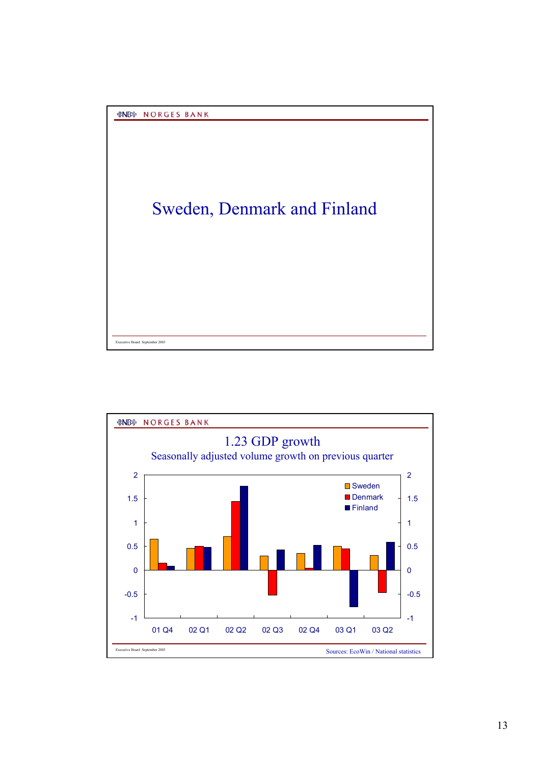

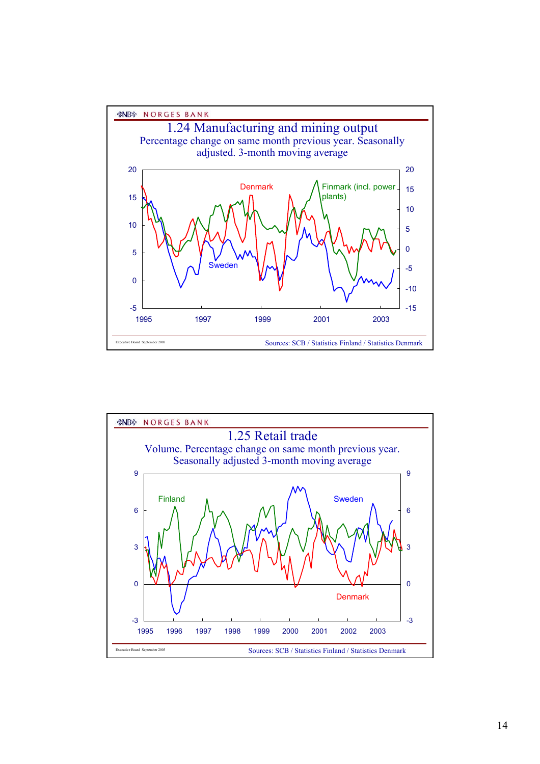

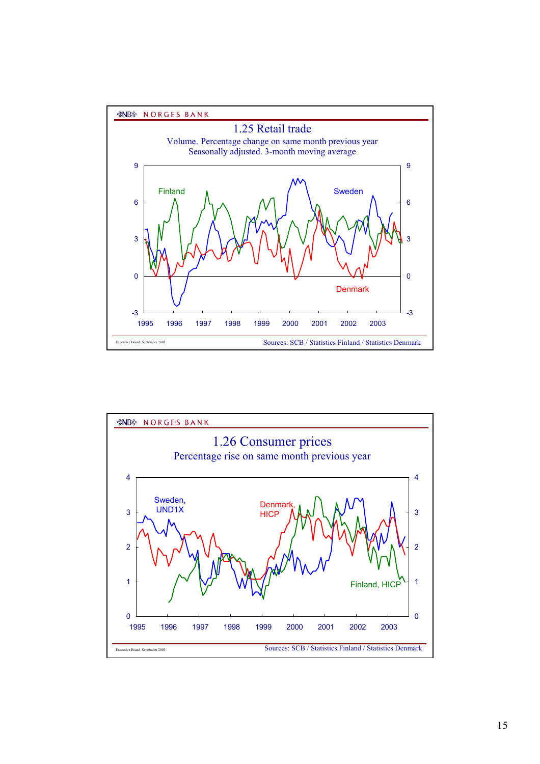



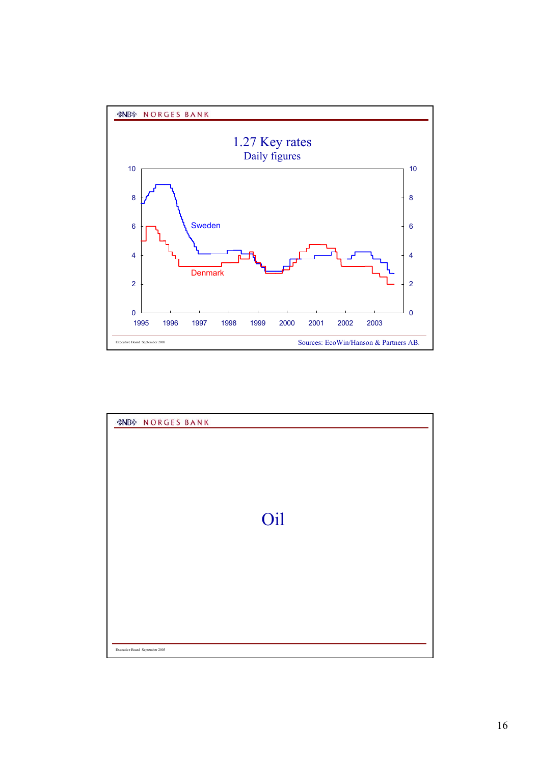

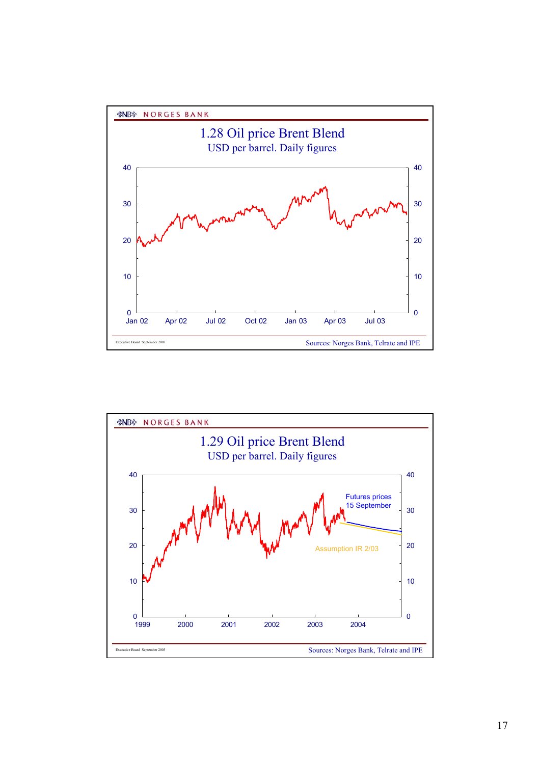

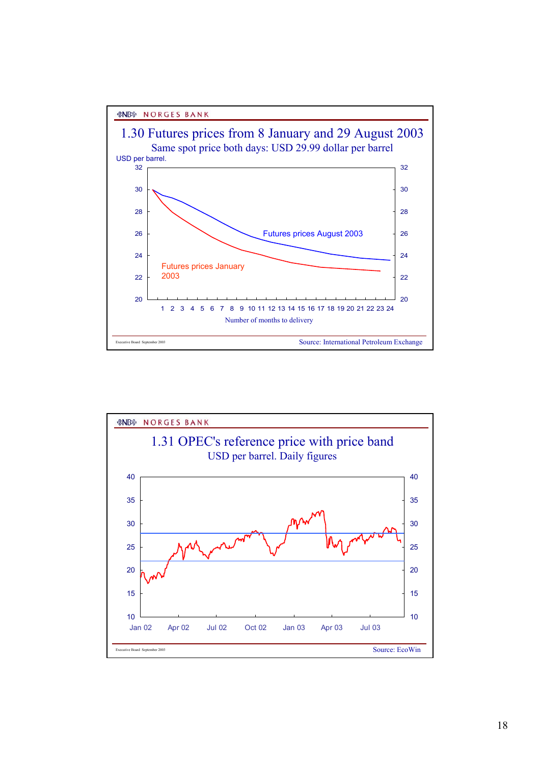*&NB* **NORGES BANK** 



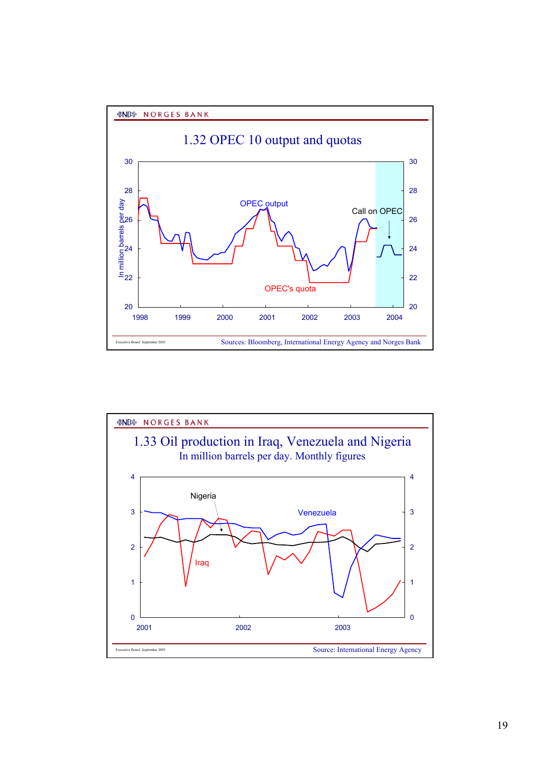

20



1998 1999 2000 2001 2002 2003 2004

Sources: Bloomberg, International Energy Agency and Norges Bank

20

22

24

26

28

30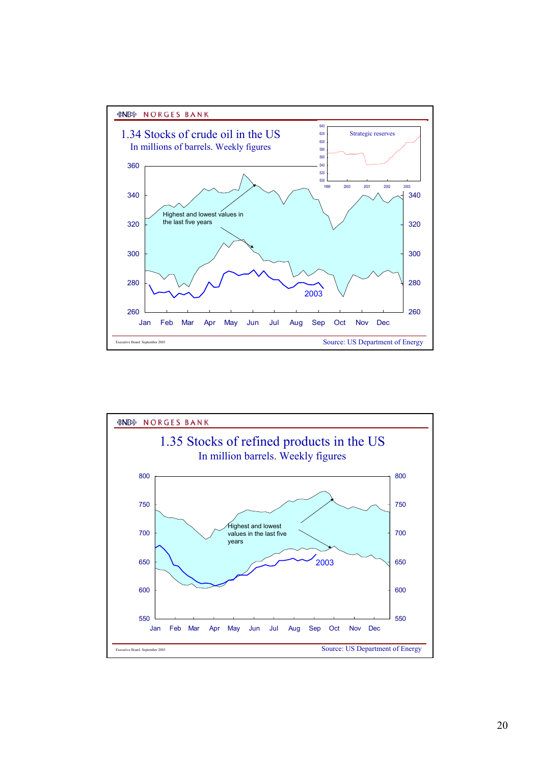

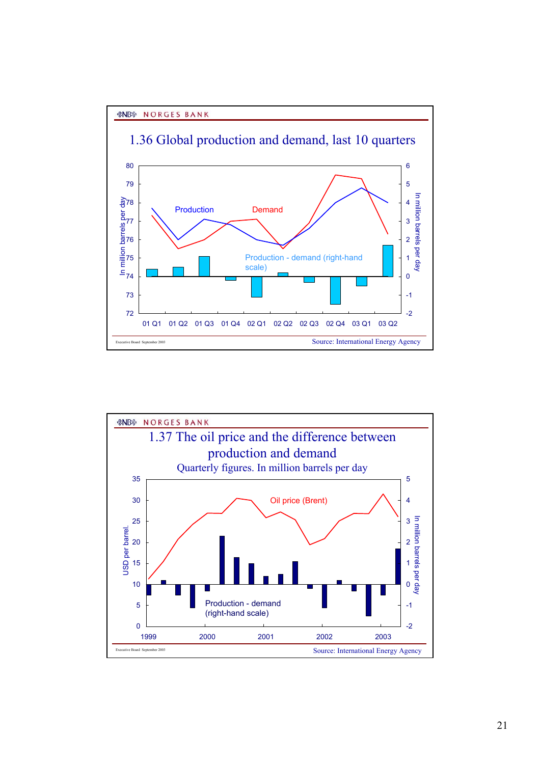## *&NB* **NORGES BANK**